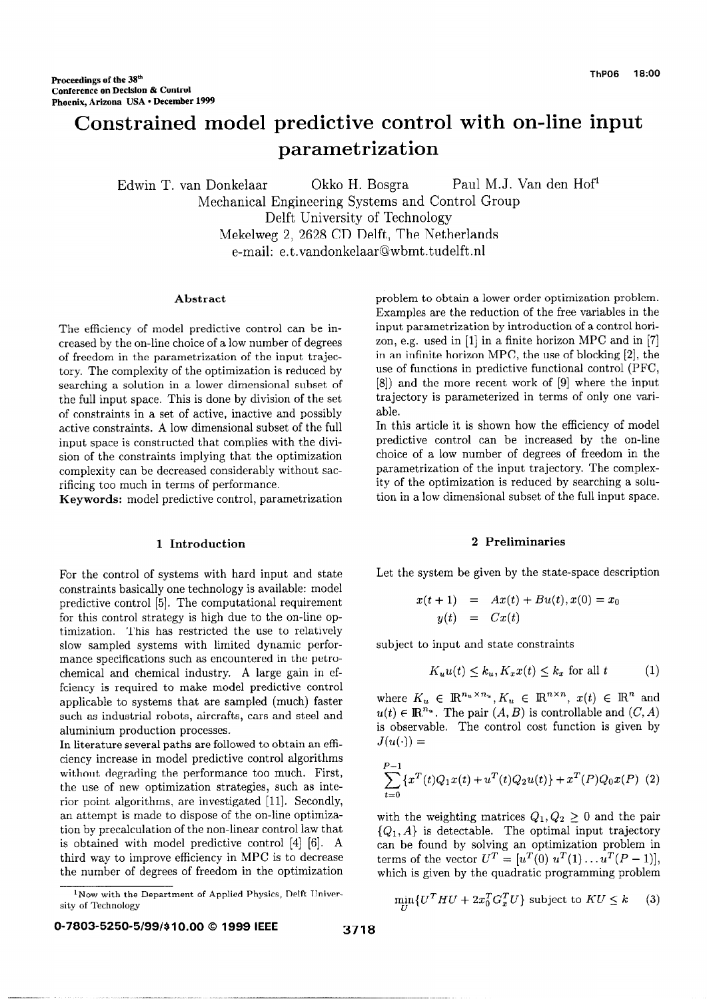# Constrained model predictive control with on-line input parametrization

Edwin T. van Donkelaar Okko H. Bosgra Paul M.J. Van den Hof<sup>1</sup> Mechanical Engineering Systems and Control Group Delft University of Technology Mekelweg 2, 2628 CD Delft, The Netherlands e-mail: e.t.vandonkelaar@wbmt.tudelft.nl

#### Abstract

The efficiency of model predictive control can be increased by the on-line choice of a low number of degrees of freedom in the parametrization of the input trajectory. The complexity of the optimization is reduced by searching a solution in a lower dimensional subset of the full input space. This is done by division of the set of constraints in a set of active, inactive and possibly active constraints. A low dimensional subset of the full input space is constructed that complies with the division of the constraints implying that the optimization complexity can be decreased considerably without sacrificing too much in terms of performance.

Keywords: model predictive control, parametrization

For the control of systems with hard input and state constraints basically one technology is available: model predictive control [5]. The computational requirement for this control strategy is high due to the on-line optimization. This has restricted the use to relatively slow sampled systems with limited dynamic performance specifications such as encountered in the petrochemical and chemical industry. A large gain in effciency is required to make model predictive control applicable to systems that are sampled (much) faster such as industrial robots, aircrafts, cars and steel and aluminium production processes.

In literature several paths are followed to obtain an efficiency increase in model predictive control algorithms without degrading the performance too much. First, the use of new optimization strategies, such as interior point algorithms, are investigated [II]. Secondly, an attempt is made to dispose of the on-line optimization by precalculation of the non-linear control law that is obtained with model predictive control [4] [6]. A third way to improve efficiency in MPC is to decrease the number of degrees of freedom in the optimization

problem to obtain a lower order optimization problem. Examples are the reduction of the free variables in the input parametrization by introduction of a control horizon, e.g. used in [l] in a finite horizon MPC and in [7] in an infinite horizon MPC, the use of blocking [2], the use of functions in predictive functional control (PFC, [8]) and the more recent work of [9] where the input trajectory is parameterized in terms of only one variable.

In this article it is shown how the efficiency of model predictive control can be increased by the on-line choice of a low number of degrees of freedom in the parametrization of the input trajectory. The complexity of the optimization is reduced by searching a solution in a low dimensional subset of the full input space.

#### 1 Introduction 2 Preliminaries

Let the system be given by the state-space description

$$
x(t + 1) = Ax(t) + Bu(t), x(0) = x_0
$$
  

$$
y(t) = Cx(t)
$$

subject to input and state constraints

$$
K_u u(t) \le k_u, K_x x(t) \le k_x \text{ for all } t \tag{1}
$$

where  $K_u \in \mathbb{R}^{n_u \times n_u}, K_u \in \mathbb{R}^{n \times n}$ ,  $x(t) \in \mathbb{R}^n$  and  $u(t) \in \mathbb{R}^{n_u}$ . The pair  $(A, B)$  is controllable and  $(C, A)$ is observable. The control cost function is given by  $J(u(\cdot)) =$ 

$$
\sum_{t=0}^{P-1} \{x^T(t)Q_1x(t) + u^T(t)Q_2u(t)\} + x^T(P)Q_0x(P)
$$
 (2)

with the weighting matrices  $Q_1, Q_2 \geq 0$  and the pair  ${Q_1, A}$  is detectable. The optimal input trajectory can be found by solving an optimization problem in terms of the vector  $U^T = [u^T(0) u^T(1)... u^T(P-1)],$ which is given by the quadratic programming problem

$$
\min \{ U^T H U + 2x_0^T G_x^T U \} \text{ subject to } K U \le k \qquad (3)
$$

<sup>&</sup>lt;sup>1</sup>Now with the Department of Applied Physics, Delft Univer-<br>
sity of Technology m  $\lim_{U} \{U^T H U + 2x_0^T G_x^T U\}$  subject to  $KU \le k$  (3)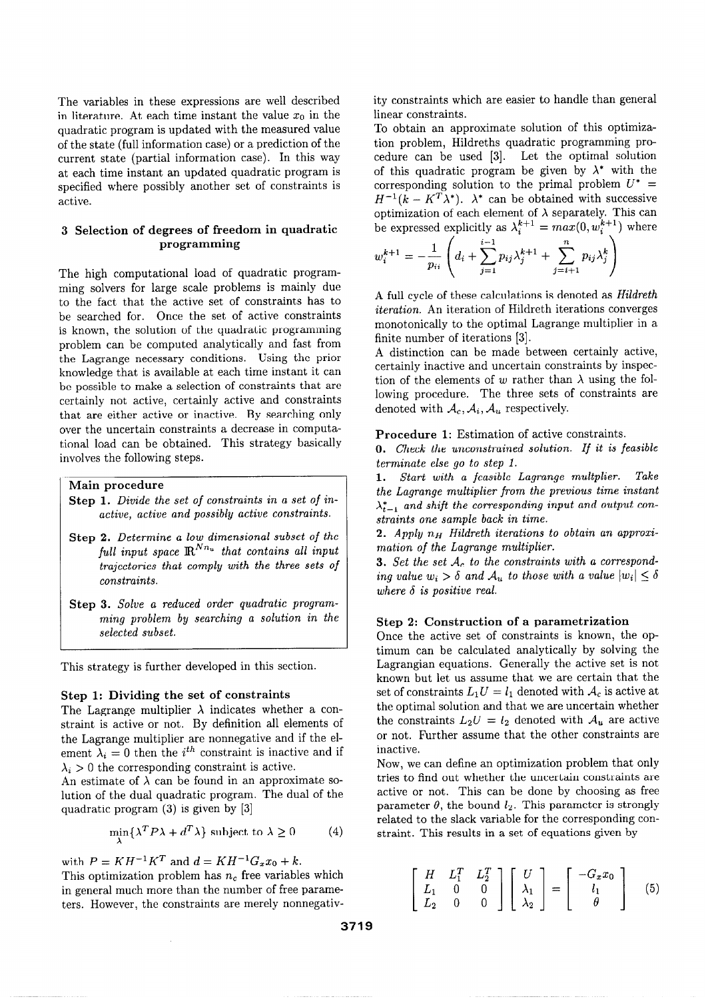The variables in these expressions are well described in literature. At each time instant the value  $x_0$  in the quadratic program is updated with the measured value of the state (full information case) or a prediction of the current state (partial information case). In this way at each time instant an updated quadratic program is specified where possibly another set of constraints is active.

# 3 Selection of degrees of freedom in quadratic programming

The high computational load of quadratic programming solvers for large scale problems is mainly due to the fact that the active set of constraints has to be searched for. Once the set of active constraints is known, the solution of the quadratic programming problem can be computed analytically and fast from the Lagrange necessary conditions. Using the prior knowledge that is available at each time instant it can be possible to make a selection of constraints that are certainly not active, certainly active and constraints that are either active or inactive. By searching only over the uncertain constraints a decrease in computational load can be obtained. This strategy basically involves the following steps.

#### Main procedure

- Step 1. Divide the set of constraints in a set of inactive, active and possibly active constraints.
- Step 2. Determine a low dimensional subset of the full input space  $\mathbb{R}^{Nn_u}$  that contains all input trajectories that comply with the three sets of constraints.
- Step 3. Solve a reduced order quadratic programming problem by searching a solution in the selected subset.

This strategy is further developed in this section.

### Step 1: Dividing the set of constraints

The Lagrange multiplier  $\lambda$  indicates whether a constraint is active or not. By definition all elements of the Lagrange multiplier are nonnegative and if the element  $\lambda_i = 0$  then the i<sup>th</sup> constraint is inactive and if  $\lambda_i>0$  the corresponding constraint is active.

An estimate of  $\lambda$  can be found in an approximate solution of the dual quadratic program. The dual of the quadratic program (3) is given by [3]

$$
\min_{\lambda} \{ \lambda^T P \lambda + d^T \lambda \} \text{ subject to } \lambda \ge 0 \tag{4}
$$

with  $P = KH^{-1}K^{T}$  and  $d = KH^{-1}G_{x}x_{0} + k$ .

This optimization problem has  $n_c$  free variables which in general much more than the number of free parameters. However, the constraints are merely nonnegativity constraints which are easier to handle than general linear constraints.

To obtain an approximate solution of this optimization problem, Hildreths quadratic programming procedure can be used [3]. Let the optimal solution of this quadratic program be given by  $\lambda^*$  with the corresponding solution to the primal problem  $U^*$  =  $H^{-1}(k - K^T\lambda^*)$ .  $\lambda^*$  can be obtained with successive optimization of each element of  $\lambda$  separately. This can be expressed explicitly as  $\lambda_i^*$  =  $max(0, w_i^* | )$  where

$$
w_i^{k+1} = -\frac{1}{p_{ii}} \left( d_i + \sum_{j=1}^{i-1} p_{ij} \lambda_j^{k+1} + \sum_{j=i+1}^{n} p_{ij} \lambda_j^{k} \right)
$$

A full cycle of these calculations is denoted as Hildreth iteration. An iteration of Hildreth iterations converges monotonically to the optimal Lagrange multiplier in a finite number of iterations [3].

A distinction can be made between certainly active, certainly inactive and uncertain constraints by inspection of the elements of w rather than  $\lambda$  using the following procedure. The three sets of constraints are denoted with  $A_c$ ,  $A_i$ ,  $A_u$  respectively.

Procedure 1: Estimation of active constraints.

0. Check the unconstrained solution. If it is feasible terminate else go to step 1.

1. Start with a feasible Lagrange multplier. Take the Lagrange multiplier from the previous time instant  $\lambda_{t-1}^*$  and shift the corresponding input and output constraints one sample back in time.

2. Apply  $n_H$  Hildreth iterations to obtain an approximation of the Lagrange multiplier.

**3.** Set the set  $A_c$  to the constraints with a corresponding value  $w_i > \delta$  and  $\mathcal{A}_u$  to those with a value  $|w_i| \leq \delta$ where  $\delta$  is positive real.

### Step 2: Construction of a parametrization

Once the active set of constraints is known, the optimum can be calculated analytically by solving the Lagrangian equations. Generally the active set is not known but let us assume that we are certain that the set of constraints  $L_1U = l_1$  denoted with  $A_c$  is active at the optimal solution and that we are uncertain whether the constraints  $L_2U = l_2$  denoted with  $\mathcal{A}_u$  are active or not. Further assume that the other constraints are inactive.

Now, we can define an optimization problem that only tries to find out whether the uncertain constraints are active or not. This can be done by choosing as free parameter  $\theta$ , the bound  $l_2$ . This parameter is strongly related to the slack variable for the corresponding constraint. This results in a set of equations given by

$$
\left[\begin{array}{ccc} H & L_1^T & L_2^T \\ L_1 & 0 & 0 \\ L_2 & 0 & 0 \end{array}\right] \left[\begin{array}{c} U \\ \lambda_1 \\ \lambda_2 \end{array}\right] = \left[\begin{array}{c} -G_x x_0 \\ l_1 \\ \theta \end{array}\right] \tag{5}
$$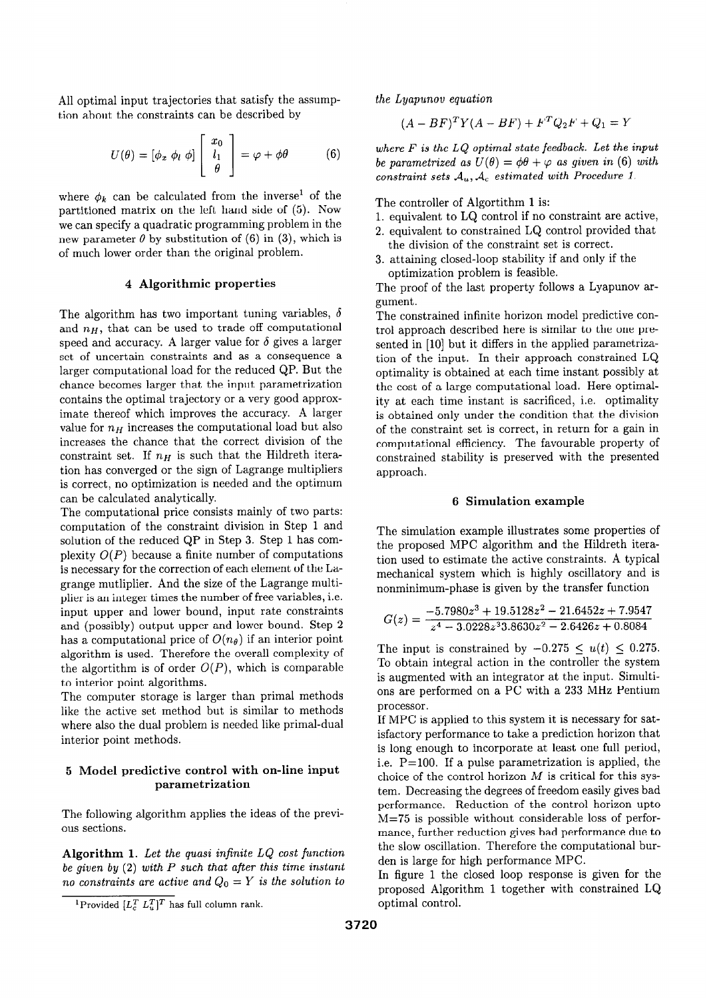All optimal input trajectories that satisfy the assumption about the constraints can be described by

$$
U(\theta) = [\phi_x \; \phi_l \; \phi] \left[ \begin{array}{c} x_0 \\ l_1 \\ \theta \end{array} \right] = \varphi + \phi \theta \tag{6}
$$

where  $\phi_k$  can be calculated from the inverse<sup>1</sup> of the partitioned matrix on the left hand side of (5). Now we can specify a quadratic programming problem in the new parameter  $\theta$  by substitution of (6) in (3), which is of much lower order than the original problem.

#### 4 Algorithmic properties

The algorithm has two important tuning variables,  $\delta$ and  $n<sub>H</sub>$ , that can be used to trade off computational speed and accuracy. A larger value for  $\delta$  gives a larger set of uncertain constraints and as a consequence a larger computational load for the reduced QP. But the chance becomes larger that the input parametrization contains the optimal trajectory or a very good approximate thereof which improves the accuracy. A larger value for  $n_H$  increases the computational load but also increases the chance that the correct division of the constraint set. If  $n_H$  is such that the Hildreth iteration has converged or the sign of Lagrange multipliers is correct, no optimization is needed and the optimum can be calculated analytically.

The computational price consists mainly of two parts: computation of the constraint division in Step 1 and solution of the reduced QP in Step 3. Step 1 has complexity  $O(P)$  because a finite number of computations is necessary for the correction of each element of the Lagrange mutliplier. And the size of the Lagrange multiplier is an integer times the number of free variables, i.e. input upper and lower bound, input rate constraints and (possibly) output upper and lower bound. Step 2 has a computational price of  $O(n_{\theta})$  if an interior point algorithm is used. Therefore the overall complexity of the algorithm is of order  $O(P)$ , which is comparable to interior point algorithms.

The computer storage is larger than primal methods like the active set method but is similar to methods where also the dual problem is needed like primal-dual interior point methods.

### 5 Model predictive control with on-line input parametrization

The following algorithm applies the ideas of the previous sections.

Algorithm 1. Let the quasi infinite LQ cost function be given by  $(2)$  with P such that after this time instant no constraints are active and  $Q_0 = Y$  is the solution to the Lyapunov equation

 $(A - BF)^T Y (A - BF) + F^T Q_2 F + Q_1 = Y$ 

where  $F$  is the  $LQ$  optimal state feedback. Let the input be parametrized as  $U(\theta) = \phi\theta + \varphi$  as given in (6) with constraint sets  $A_u, A_c$  estimated with Procedure 1.

The controller of Algortithm 1 is:

- 1. equivalent to LQ control if no constraint are active,
- 2. equivalent to constrained LQ control provided that the division of the constraint set is correct.
- 3. attaining closed-loop stability if and only if the optimization problem is feasible.

The proof of the last property follows a Lyapunov argument.

The constrained infinite horizon model predictive control approach described here is similar to the one presented in [10] but it differs in the applied parametrization of the input. In their approach constrained LQ optimality is obtained at each time instant possibly at the cost of a large computational load. Here optimality at each time instant is sacrificed, i.e. optimality is obtained only under the condition that the division of the constraint set is correct, in return for a gain in computational efficiency. The favourable property of constrained stability is preserved with the presented approach.

#### 6 Simulation example

The simulation example illustrates some properties of the proposed MPC algorithm and the Hildreth iteration used to estimate the active constraints. A typical mechanical system which is highly oscillatory and is nonminimum-phase is given by the transfer function

$$
G(z) = \frac{-5.7980z^3 + 19.5128z^2 - 21.6452z + 7.9547}{z^4 - 3.0228z^33.8630z^2 - 2.6426z + 0.8084}
$$

The input is constrained by  $-0.275 \le u(t) \le 0.275$ . To obtain integral action in the controller the system is augmented with an integrator at the input. Simultions are performed on a PC with a 233 MHz Pentium processor.

If MPC is applied to this system it is necessary for satisfactory performance to take a prediction horizon that is long enough to incorporate at least one full period, i.e.  $P=100$ . If a pulse parametrization is applied, the choice of the control horizon  $M$  is critical for this system. Decreasing the degrees of freedom easily gives bad performance. Reduction of the control horizon upto M=75 is possible without considerable loss of performance, further reduction gives bad performance due to the slow oscillation. Therefore the computational burden is large for high performance MPC.

In figure 1 the closed loop response is given for the proposed Algorithm 1 together with constrained LQ optimal control.

<sup>&</sup>lt;sup>1</sup>Provided  $[L_c^T L_u^T]^T$  has full column rank.